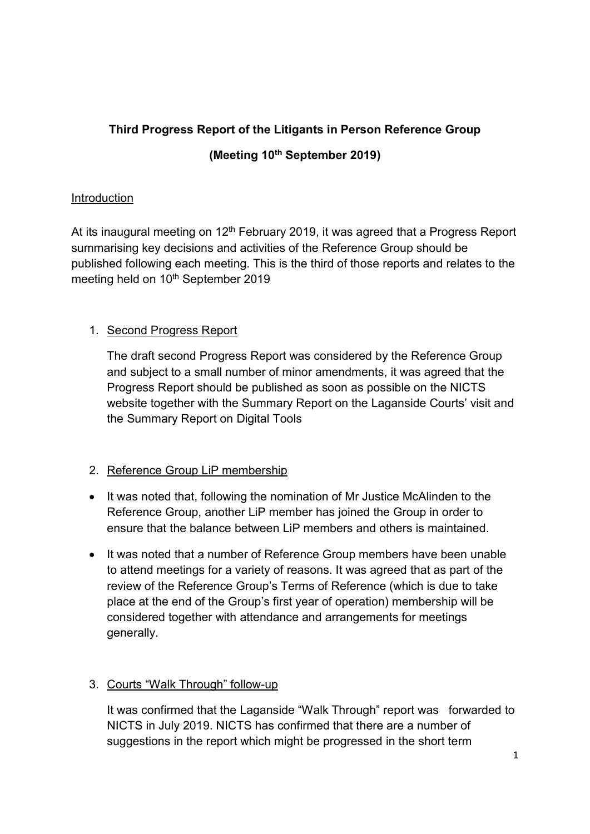# Third Progress Report of the Litigants in Person Reference Group (Meeting 10<sup>th</sup> September 2019)

## Introduction

At its inaugural meeting on  $12<sup>th</sup>$  February 2019, it was agreed that a Progress Report summarising key decisions and activities of the Reference Group should be published following each meeting. This is the third of those reports and relates to the meeting held on 10<sup>th</sup> September 2019

## 1. Second Progress Report

The draft second Progress Report was considered by the Reference Group and subject to a small number of minor amendments, it was agreed that the Progress Report should be published as soon as possible on the NICTS website together with the Summary Report on the Laganside Courts' visit and the Summary Report on Digital Tools

### 2. Reference Group LiP membership

- It was noted that, following the nomination of Mr Justice McAlinden to the Reference Group, another LiP member has joined the Group in order to ensure that the balance between LiP members and others is maintained.
- It was noted that a number of Reference Group members have been unable to attend meetings for a variety of reasons. It was agreed that as part of the review of the Reference Group's Terms of Reference (which is due to take place at the end of the Group's first year of operation) membership will be considered together with attendance and arrangements for meetings generally.

### 3. Courts "Walk Through" follow-up

It was confirmed that the Laganside "Walk Through" report was forwarded to NICTS in July 2019. NICTS has confirmed that there are a number of suggestions in the report which might be progressed in the short term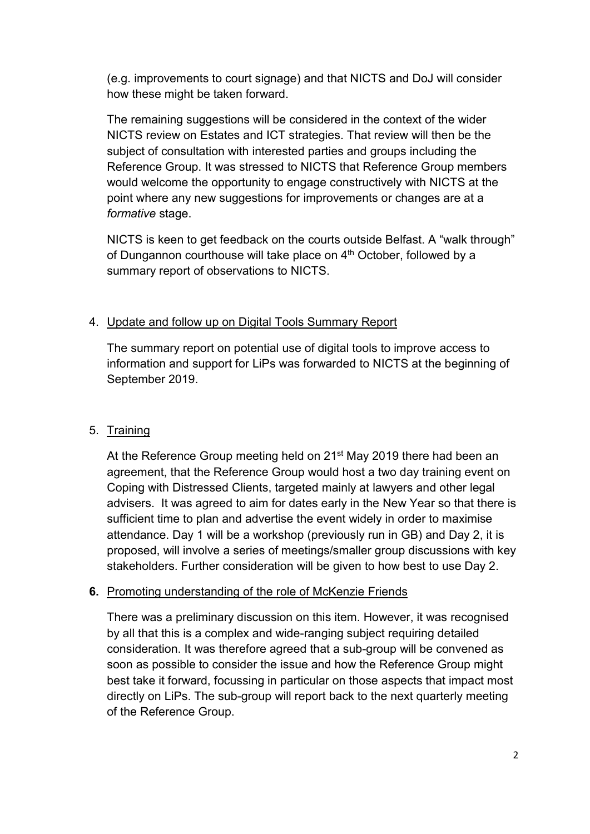(e.g. improvements to court signage) and that NICTS and DoJ will consider how these might be taken forward.

The remaining suggestions will be considered in the context of the wider NICTS review on Estates and ICT strategies. That review will then be the subject of consultation with interested parties and groups including the Reference Group. It was stressed to NICTS that Reference Group members would welcome the opportunity to engage constructively with NICTS at the point where any new suggestions for improvements or changes are at a formative stage.

NICTS is keen to get feedback on the courts outside Belfast. A "walk through" of Dungannon courthouse will take place on 4<sup>th</sup> October, followed by a summary report of observations to NICTS.

#### 4. Update and follow up on Digital Tools Summary Report

The summary report on potential use of digital tools to improve access to information and support for LiPs was forwarded to NICTS at the beginning of September 2019.

#### 5. Training

At the Reference Group meeting held on 21<sup>st</sup> May 2019 there had been an agreement, that the Reference Group would host a two day training event on Coping with Distressed Clients, targeted mainly at lawyers and other legal advisers. It was agreed to aim for dates early in the New Year so that there is sufficient time to plan and advertise the event widely in order to maximise attendance. Day 1 will be a workshop (previously run in GB) and Day 2, it is proposed, will involve a series of meetings/smaller group discussions with key stakeholders. Further consideration will be given to how best to use Day 2.

#### 6. Promoting understanding of the role of McKenzie Friends

There was a preliminary discussion on this item. However, it was recognised by all that this is a complex and wide-ranging subject requiring detailed consideration. It was therefore agreed that a sub-group will be convened as soon as possible to consider the issue and how the Reference Group might best take it forward, focussing in particular on those aspects that impact most directly on LiPs. The sub-group will report back to the next quarterly meeting of the Reference Group.